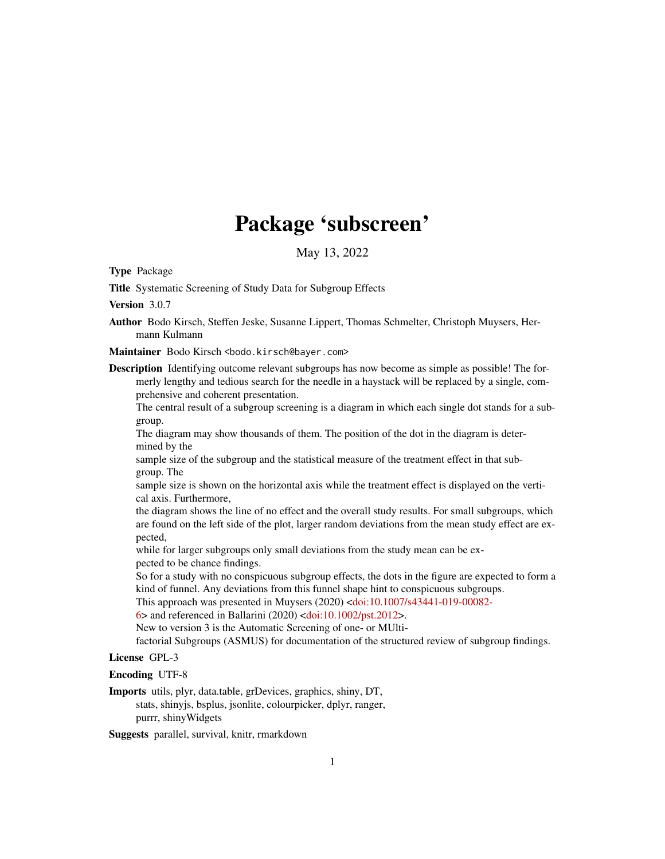## Package 'subscreen'

May 13, 2022

Type Package

Title Systematic Screening of Study Data for Subgroup Effects

Version 3.0.7

Author Bodo Kirsch, Steffen Jeske, Susanne Lippert, Thomas Schmelter, Christoph Muysers, Hermann Kulmann

Maintainer Bodo Kirsch <br/>bodo.kirsch@bayer.com>

Description Identifying outcome relevant subgroups has now become as simple as possible! The formerly lengthy and tedious search for the needle in a haystack will be replaced by a single, comprehensive and coherent presentation.

The central result of a subgroup screening is a diagram in which each single dot stands for a subgroup.

The diagram may show thousands of them. The position of the dot in the diagram is determined by the

sample size of the subgroup and the statistical measure of the treatment effect in that subgroup. The

sample size is shown on the horizontal axis while the treatment effect is displayed on the vertical axis. Furthermore,

the diagram shows the line of no effect and the overall study results. For small subgroups, which are found on the left side of the plot, larger random deviations from the mean study effect are expected,

while for larger subgroups only small deviations from the study mean can be expected to be chance findings.

So for a study with no conspicuous subgroup effects, the dots in the figure are expected to form a kind of funnel. Any deviations from this funnel shape hint to conspicuous subgroups.

This approach was presented in Muysers (2020) [<doi:10.1007/s43441-019-00082-](https://doi.org/10.1007/s43441-019-00082-6)

 $6$  and referenced in Ballarini (2020) [<doi:10.1002/pst.2012>](https://doi.org/10.1002/pst.2012).

New to version 3 is the Automatic Screening of one- or MUlti-

factorial Subgroups (ASMUS) for documentation of the structured review of subgroup findings.

#### License GPL-3

Encoding UTF-8

Imports utils, plyr, data.table, grDevices, graphics, shiny, DT, stats, shinyjs, bsplus, jsonlite, colourpicker, dplyr, ranger, purrr, shinyWidgets

Suggests parallel, survival, knitr, rmarkdown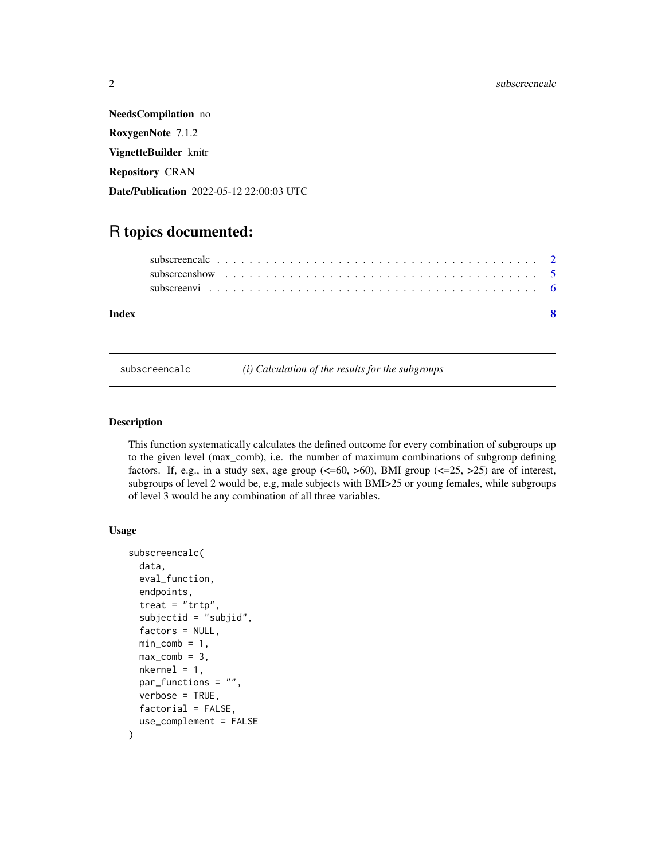<span id="page-1-0"></span>NeedsCompilation no RoxygenNote 7.1.2 VignetteBuilder knitr Repository CRAN Date/Publication 2022-05-12 22:00:03 UTC

### R topics documented:

subscreencalc *(i) Calculation of the results for the subgroups*

#### Description

This function systematically calculates the defined outcome for every combination of subgroups up to the given level (max\_comb), i.e. the number of maximum combinations of subgroup defining factors. If, e.g., in a study sex, age group  $(\leq=60, >60)$ , BMI group  $(\leq=25, >25)$  are of interest, subgroups of level 2 would be, e.g, male subjects with BMI>25 or young females, while subgroups of level 3 would be any combination of all three variables.

#### Usage

```
subscreencalc(
  data,
  eval_function,
  endpoints,
  \text{treat} = " \text{trtp}",subjectid = "subjid",
  factors = NULL,
  min\_comb = 1,
 max_{conb} = 3,
  nkernel = 1,
  par_functions = "",
  verbose = TRUE,
  factorial = FALSE,
  use_complement = FALSE
)
```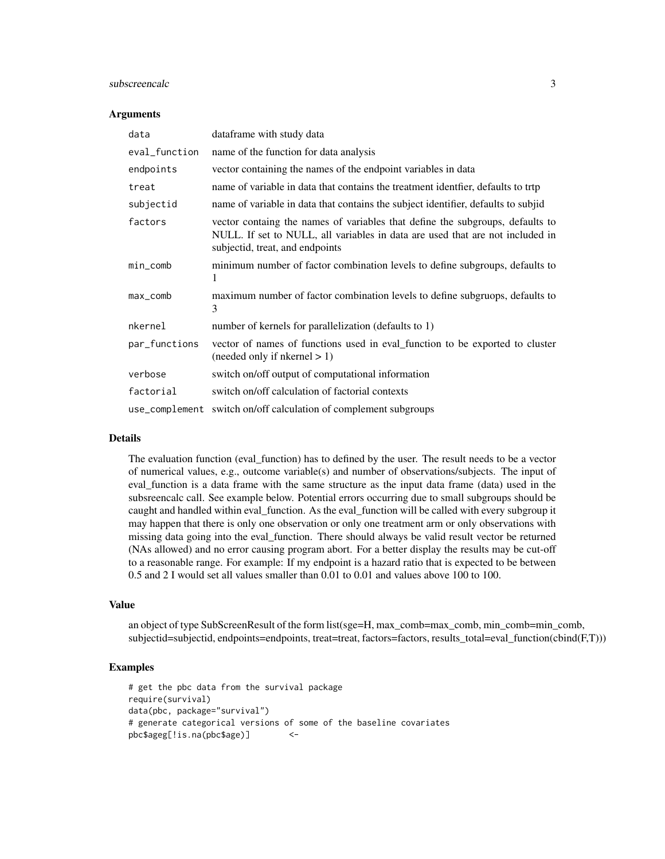#### subscreencalc 3

#### **Arguments**

| data          | dataframe with study data                                                                                                                                                                         |  |  |
|---------------|---------------------------------------------------------------------------------------------------------------------------------------------------------------------------------------------------|--|--|
| eval_function | name of the function for data analysis                                                                                                                                                            |  |  |
| endpoints     | vector containing the names of the endpoint variables in data                                                                                                                                     |  |  |
| treat         | name of variable in data that contains the treatment identifier, defaults to trtp                                                                                                                 |  |  |
| subjectid     | name of variable in data that contains the subject identifier, defaults to subjid                                                                                                                 |  |  |
| factors       | vector containg the names of variables that define the subgroups, defaults to<br>NULL. If set to NULL, all variables in data are used that are not included in<br>subjectid, treat, and endpoints |  |  |
| $min\_comb$   | minimum number of factor combination levels to define subgroups, defaults to<br>1                                                                                                                 |  |  |
| $max_{-}comb$ | maximum number of factor combination levels to define subgruops, defaults to<br>3                                                                                                                 |  |  |
| nkernel       | number of kernels for parallelization (defaults to 1)                                                                                                                                             |  |  |
| par_functions | vector of names of functions used in eval_function to be exported to cluster<br>(needed only if nkernel > 1)                                                                                      |  |  |
| verbose       | switch on/off output of computational information                                                                                                                                                 |  |  |
| factorial     | switch on/off calculation of factorial contexts                                                                                                                                                   |  |  |
|               | use_complement switch on/off calculation of complement subgroups                                                                                                                                  |  |  |

#### Details

The evaluation function (eval\_function) has to defined by the user. The result needs to be a vector of numerical values, e.g., outcome variable(s) and number of observations/subjects. The input of eval\_function is a data frame with the same structure as the input data frame (data) used in the subsreencalc call. See example below. Potential errors occurring due to small subgroups should be caught and handled within eval\_function. As the eval\_function will be called with every subgroup it may happen that there is only one observation or only one treatment arm or only observations with missing data going into the eval\_function. There should always be valid result vector be returned (NAs allowed) and no error causing program abort. For a better display the results may be cut-off to a reasonable range. For example: If my endpoint is a hazard ratio that is expected to be between 0.5 and 2 I would set all values smaller than 0.01 to 0.01 and values above 100 to 100.

#### Value

an object of type SubScreenResult of the form list(sge=H, max\_comb=max\_comb, min\_comb=min\_comb, subjectid=subjectid, endpoints=endpoints, treat=treat, factors=factors, results\_total=eval\_function(cbind(F,T)))

#### Examples

```
# get the pbc data from the survival package
require(survival)
data(pbc, package="survival")
# generate categorical versions of some of the baseline covariates
pbc$ageg[!is.na(pbc$age)] <-
```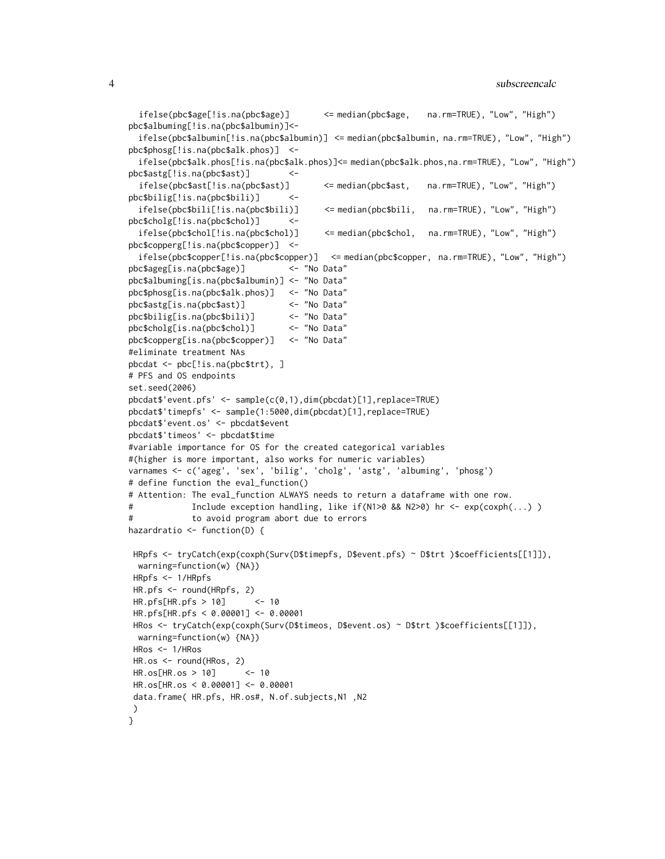```
ifelse(pbc$age[!is.na(pbc$age)] <= median(pbc$age, na.rm=TRUE), "Low", "High")
pbc$albuming[!is.na(pbc$albumin)]<-
 ifelse(pbc$albumin[!is.na(pbc$albumin)] <= median(pbc$albumin, na.rm=TRUE), "Low", "High")
pbc$phosg[!is.na(pbc$alk.phos)] <-
 ifelse(pbc$alk.phos[!is.na(pbc$alk.phos)]<= median(pbc$alk.phos,na.rm=TRUE), "Low", "High")
pbc$astg[!is.na(pbc$ast)] <-
  ifelse(pbc$ast[!is.na(pbc$ast)] <= median(pbc$ast, na.rm=TRUE), "Low", "High")
pbc$bilig[!is.na(pbc$bili)] <-
 ifelse(pbc$bili[!is.na(pbc$bili)] <= median(pbc$bili, na.rm=TRUE), "Low", "High")
pbc$cholg[!is.na(pbc$chol)] <-
 ifelse(pbc$chol[!is.na(pbc$chol)] <= median(pbc$chol, na.rm=TRUE), "Low", "High")
pbc$copperg[!is.na(pbc$copper)] <-
  ifelse(pbc$copper[!is.na(pbc$copper)] <= median(pbc$copper, na.rm=TRUE), "Low", "High")
pbc$ageg[is.na(pbc$age)] <- "No Data"
pbc$albuming[is.na(pbc$albumin)] <- "No Data"
pbc$phosg[is.na(pbc$alk.phos)] <- "No Data"
pbc$astg[is.na(pbc$ast)] <- "No Data"
pbc$bilig[is.na(pbc$bili)] <- "No Data"
pbc$cholg[is.na(pbc$chol)] <- "No Data"
pbc$copperg[is.na(pbc$copper)] <- "No Data"
#eliminate treatment NAs
pbcdat <- pbc[!is.na(pbc$trt), ]
# PFS and OS endpoints
set.seed(2006)
pbcdat$'event.pfs' <- sample(c(0,1),dim(pbcdat)[1],replace=TRUE)
pbcdat$'timepfs' <- sample(1:5000,dim(pbcdat)[1],replace=TRUE)
pbcdat$'event.os' <- pbcdat$event
pbcdat$'timeos' <- pbcdat$time
#variable importance for OS for the created categorical variables
#(higher is more important, also works for numeric variables)
varnames <- c('ageg', 'sex', 'bilig', 'cholg', 'astg', 'albuming', 'phosg')
# define function the eval_function()
# Attention: The eval_function ALWAYS needs to return a dataframe with one row.
# Include exception handling, like if(N1>0 && N2>0) hr <- exp(coxph(...) )
# to avoid program abort due to errors
hazardratio \leq function(D) {
HRpfs <- tryCatch(exp(coxph(Surv(D$timepfs, D$event.pfs) ~ D$trt )$coefficients[[1]]),
 warning=function(w) {NA})
HRpfs <- 1/HRpfs
HR.pfs <- round(HRpfs, 2)
HR.pfs[HR.pfs > 10] <- 10
HR.pfs[HR.pfs < 0.00001] <- 0.00001
HRos <- tryCatch(exp(coxph(Surv(D$timeos, D$event.os) ~ D$trt )$coefficients[[1]]),
 warning=function(w) {NA})
HRos <- 1/HRos
HR.os <- round(HRos, 2)
HR.os[HR.os > 10] <- 10
HR.os[HR.os < 0.00001] <- 0.00001
data.frame( HR.pfs, HR.os#, N.of.subjects,N1 ,N2
)
}
```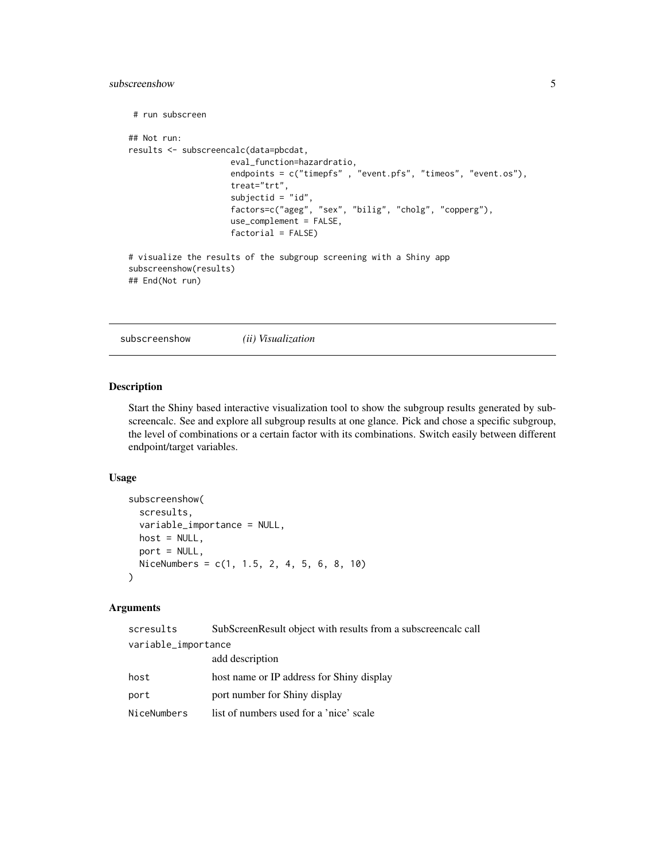#### <span id="page-4-0"></span>subscreenshow 5

```
# run subscreen
## Not run:
results <- subscreencalc(data=pbcdat,
                     eval_function=hazardratio,
                     endpoints = c("timepfs" , "event.pfs", "timeos", "event.os"),
                     treat="trt",
                     subjectid = "id",
                     factors=c("ageg", "sex", "bilig", "cholg", "copperg"),
                     use_complement = FALSE,
                     factorial = FALSE)
# visualize the results of the subgroup screening with a Shiny app
subscreenshow(results)
## End(Not run)
```
subscreenshow *(ii) Visualization*

#### Description

Start the Shiny based interactive visualization tool to show the subgroup results generated by subscreencalc. See and explore all subgroup results at one glance. Pick and chose a specific subgroup, the level of combinations or a certain factor with its combinations. Switch easily between different endpoint/target variables.

#### Usage

```
subscreenshow(
  scresults,
  variable_importance = NULL,
  host = NULL,port = NULL,
 NiceNumbers = c(1, 1.5, 2, 4, 5, 6, 8, 10)
)
```
#### Arguments

| scresults           | SubScreenResult object with results from a subscreencalc call |  |
|---------------------|---------------------------------------------------------------|--|
| variable_importance |                                                               |  |
|                     | add description                                               |  |
| host                | host name or IP address for Shiny display                     |  |
| port                | port number for Shiny display                                 |  |
| NiceNumbers         | list of numbers used for a 'nice' scale                       |  |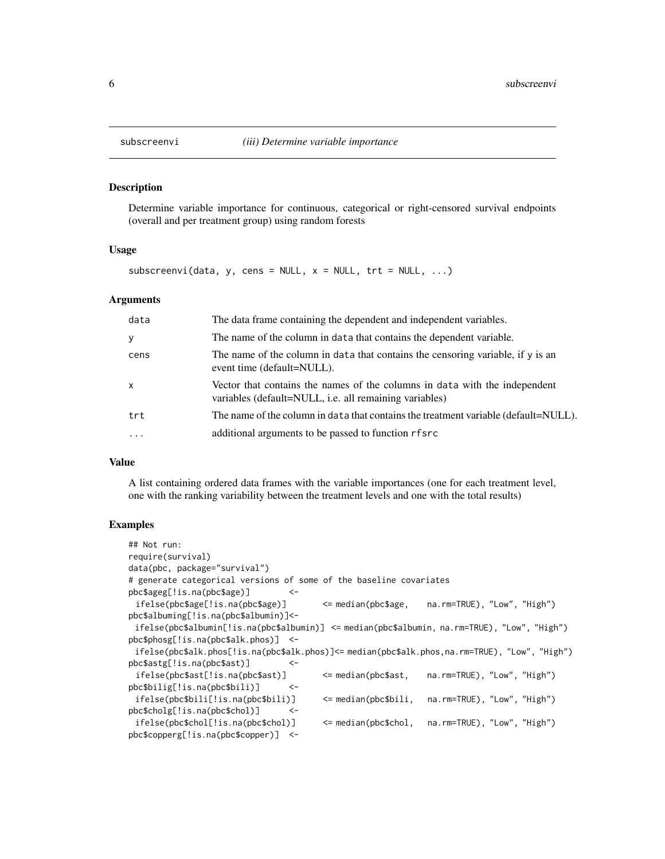#### Description

Determine variable importance for continuous, categorical or right-censored survival endpoints (overall and per treatment group) using random forests

#### Usage

subscreenvi(data, y, cens = NULL,  $x = NULL$ ,  $trt = NULL$ , ...)

#### Arguments

| data         | The data frame containing the dependent and independent variables.                                                                   |
|--------------|--------------------------------------------------------------------------------------------------------------------------------------|
| y            | The name of the column in data that contains the dependent variable.                                                                 |
| cens         | The name of the column in data that contains the censoring variable, if y is an<br>event time (default=NULL).                        |
| $\mathsf{x}$ | Vector that contains the names of the columns in data with the independent<br>variables (default=NULL, i.e. all remaining variables) |
| trt          | The name of the column in data that contains the treatment variable (default=NULL).                                                  |
| $\cdot$      | additional arguments to be passed to function rfsrc                                                                                  |
|              |                                                                                                                                      |

#### Value

A list containing ordered data frames with the variable importances (one for each treatment level, one with the ranking variability between the treatment levels and one with the total results)

#### Examples

| $\#$ # Not run:                                                                                |                          |                             |
|------------------------------------------------------------------------------------------------|--------------------------|-----------------------------|
| require(survival)                                                                              |                          |                             |
| $data(pbc, package="survival")$                                                                |                          |                             |
| # generate categorical versions of some of the baseline covariates                             |                          |                             |
| $pbc\$ ggeg[!is.na( $pbc\$ gge)]<br>— <–                                                       |                          |                             |
| ifelse(pbc\$age[:is,na(pbc\$age)]                                                              | <= median(pbc\$age,      | na.rm=TRUE), "Low", "High") |
| $pbc$albuming[:is, na(pbc$albumin)]$ <-                                                        |                          |                             |
| $ifelse(pbc$albumin[:is.na(pbc$albumin)] < = median(pbc$albumin, na.rm=True), "Low", "High")$  |                          |                             |
| $pbc$phosg[:is.na(pbc$alk.phos)] < -$                                                          |                          |                             |
| ifelse(pbc\$alk.phos[!is.na(pbc\$alk.phos)]<= median(pbc\$alk.phos,na.rm=TRUE), "Low", "High") |                          |                             |
| pbc\$astg[!is.na(pbc\$ast)]<br><-                                                              |                          |                             |
| ifelse(pbc\$ast[]!is.na(pbc\$ast)]                                                             | <= median(pbc\$ast,      | na.rm=TRUE), "Low", "High") |
| $pbc$$ bilig[!is.na( $pbc$$ bili)]<br>$\leftarrow$                                             |                          |                             |
| $ifelse( pbc $bill$ i $[]$ : $a ( pbc $ bill$                                                  | $\leq$ median(pbc\$bili, | na.rm=TRUE), "Low", "High") |
| pbc\$cholg[:is,na(pbc\$chol)]<br>$\prec$ -                                                     |                          |                             |
| ifelse(pbc\$chol[]!is.na(pbc\$chol)]                                                           | $\leq$ median(pbc\$chol, | na.rm=TRUE), "Low", "High") |
| $pbc$copperg[!is,na(pbc$copper)] < -$                                                          |                          |                             |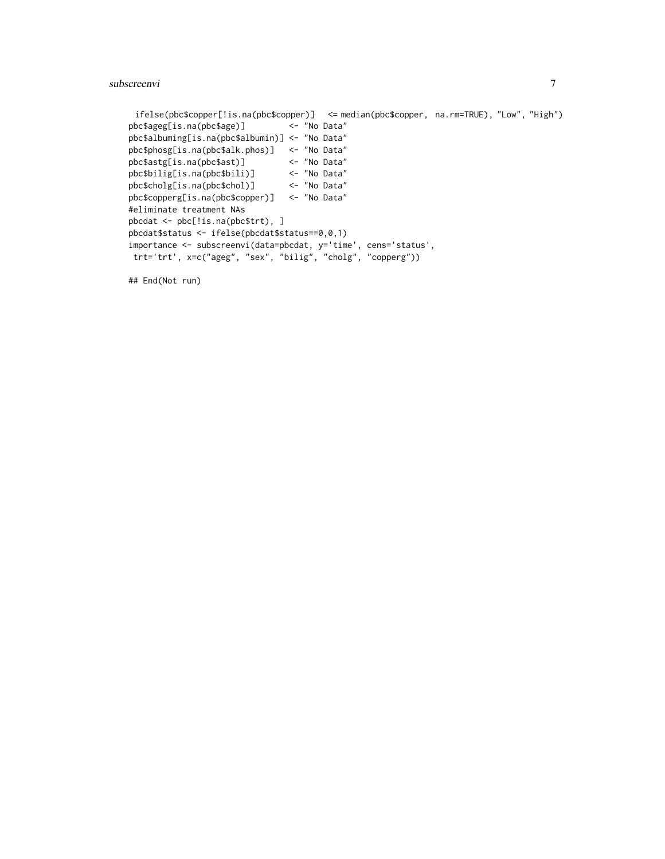```
ifelse(pbc$copper[!is.na(pbc$copper)] <= median(pbc$copper, na.rm=TRUE), "Low", "High")
pbc$ageg[is.na(pbc$age)] <- "No Data"
pbc$albuming[is.na(pbc$albumin)] <- "No Data"
pbc$phosg[is.na(pbc$alk.phos)] <- "No Data"
pbc$astg[is.na(pbc$ast)] <- "No Data"<br>pbc$bilig[is.na(pbc$bili)] <- "No Data"
pbc$bilig[is.na(pbc$bili)]
pbc$cholg[is.na(pbc$chol)] <- "No Data"
pbc$copperg[is.na(pbc$copper)] <- "No Data"
#eliminate treatment NAs
pbcdat <- pbc[!is.na(pbc$trt), ]
pbcdat$status <- ifelse(pbcdat$status==0,0,1)
importance <- subscreenvi(data=pbcdat, y='time', cens='status',
trt='trt', x=c("ageg", "sex", "bilig", "cholg", "copperg"))
```
## End(Not run)